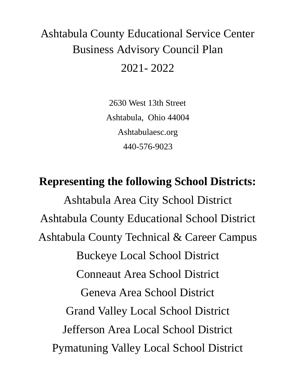# Ashtabula County Educational Service Center Business Advisory Council Plan 2021- 2022

2630 West 13th Street Ashtabula, Ohio 44004 Ashtabulaesc.org 440-576-9023

**Representing the following School Districts:** Ashtabula Area City School District Ashtabula County Educational School District Ashtabula County Technical & Career Campus Buckeye Local School District Conneaut Area School District Geneva Area School District Grand Valley Local School District Jefferson Area Local School District Pymatuning Valley Local School District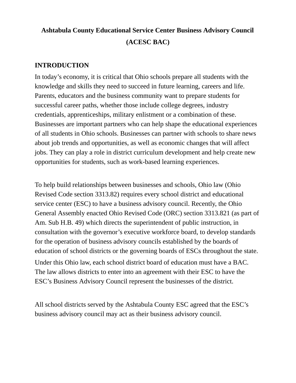# **Ashtabula County Educational Service Center Business Advisory Council (ACESC BAC)**

#### **INTRODUCTION**

In today's economy, it is critical that Ohio schools prepare all students with the knowledge and skills they need to succeed in future learning, careers and life. Parents, educators and the business community want to prepare students for successful career paths, whether those include college degrees, industry credentials, apprenticeships, military enlistment or a combination of these. Businesses are important partners who can help shape the educational experiences of all students in Ohio schools. Businesses can partner with schools to share news about job trends and opportunities, as well as economic changes that will affect jobs. They can play a role in district curriculum development and help create new opportunities for students, such as work-based learning experiences.

To help build relationships between businesses and schools, Ohio law (Ohio Revised Code section 3313.82) requires every school district and educational service center (ESC) to have a business advisory council. Recently, the Ohio General Assembly enacted Ohio Revised Code (ORC) section 3313.821 (as part of Am. Sub H.B. 49) which directs the superintendent of public instruction, in consultation with the governor's executive workforce board, to develop standards for the operation of business advisory councils established by the boards of education of school districts or the governing boards of ESCs throughout the state. Under this Ohio law, each school district board of education must have a BAC. The law allows districts to enter into an agreement with their ESC to have the ESC's Business Advisory Council represent the businesses of the district.

All school districts served by the Ashtabula County ESC agreed that the ESC's business advisory council may act as their business advisory council.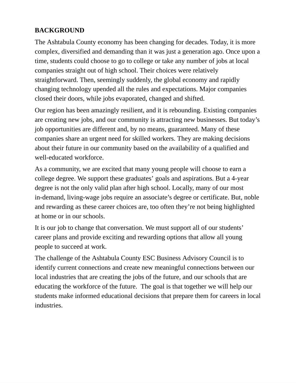### **BACKGROUND**

The Ashtabula County economy has been changing for decades. Today, it is more complex, diversified and demanding than it was just a generation ago. Once upon a time, students could choose to go to college or take any number of jobs at local companies straight out of high school. Their choices were relatively straightforward. Then, seemingly suddenly, the global economy and rapidly changing technology upended all the rules and expectations. Major companies closed their doors, while jobs evaporated, changed and shifted.

Our region has been amazingly resilient, and it is rebounding. Existing companies are creating new jobs, and our community is attracting new businesses. But today's job opportunities are different and, by no means, guaranteed. Many of these companies share an urgent need for skilled workers. They are making decisions about their future in our community based on the availability of a qualified and well-educated workforce.

As a community, we are excited that many young people will choose to earn a college degree. We support these graduates' goals and aspirations. But a 4-year degree is not the only valid plan after high school. Locally, many of our most in-demand, living-wage jobs require an associate's degree or certificate. But, noble and rewarding as these career choices are, too often they're not being highlighted at home or in our schools.

It is our job to change that conversation. We must support all of our students' career plans and provide exciting and rewarding options that allow all young people to succeed at work.

The challenge of the Ashtabula County ESC Business Advisory Council is to identify current connections and create new meaningful connections between our local industries that are creating the jobs of the future, and our schools that are educating the workforce of the future. The goal is that together we will help our students make informed educational decisions that prepare them for careers in local industries.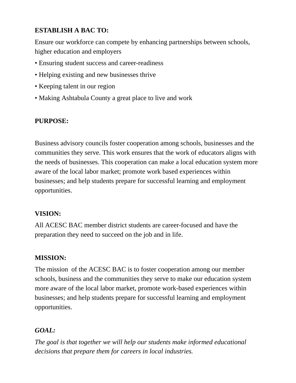# **ESTABLISH A BAC TO:**

Ensure our workforce can compete by enhancing partnerships between schools, higher education and employers

- Ensuring student success and career-readiness
- Helping existing and new businesses thrive
- Keeping talent in our region
- Making Ashtabula County a great place to live and work

# **PURPOSE:**

Business advisory councils foster cooperation among schools, businesses and the communities they serve. This work ensures that the work of educators aligns with the needs of businesses. This cooperation can make a local education system more aware of the local labor market; promote work based experiences within businesses; and help students prepare for successful learning and employment opportunities.

# **VISION:**

All ACESC BAC member district students are career-focused and have the preparation they need to succeed on the job and in life.

#### **MISSION:**

The mission of the ACESC BAC is to foster cooperation among our member schools, business and the communities they serve to make our education system more aware of the local labor market, promote work-based experiences within businesses; and help students prepare for successful learning and employment opportunities.

# *GOAL:*

*The goal is that together we will help our students make informed educational decisions that prepare them for careers in local industries.*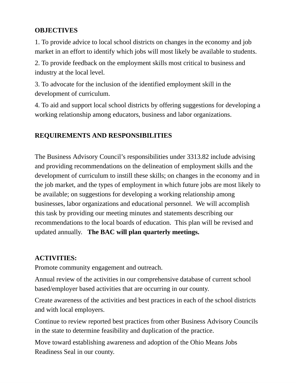### **OBJECTIVES**

1. To provide advice to local school districts on changes in the economy and job market in an effort to identify which jobs will most likely be available to students.

2. To provide feedback on the employment skills most critical to business and industry at the local level.

3. To advocate for the inclusion of the identified employment skill in the development of curriculum.

4. To aid and support local school districts by offering suggestions for developing a working relationship among educators, business and labor organizations.

# **REQUIREMENTS AND RESPONSIBILITIES**

The Business Advisory Council's responsibilities under 3313.82 include advising and providing recommendations on the delineation of employment skills and the development of curriculum to instill these skills; on changes in the economy and in the job market, and the types of employment in which future jobs are most likely to be available; on suggestions for developing a working relationship among businesses, labor organizations and educational personnel. We will accomplish this task by providing our meeting minutes and statements describing our recommendations to the local boards of education. This plan will be revised and updated annually. **The BAC will plan quarterly meetings.**

# **ACTIVITIES:**

Promote community engagement and outreach.

Annual review of the activities in our comprehensive database of current school based/employer based activities that are occurring in our county.

Create awareness of the activities and best practices in each of the school districts and with local employers.

Continue to review reported best practices from other Business Advisory Councils in the state to determine feasibility and duplication of the practice.

Move toward establishing awareness and adoption of the Ohio Means Jobs Readiness Seal in our county.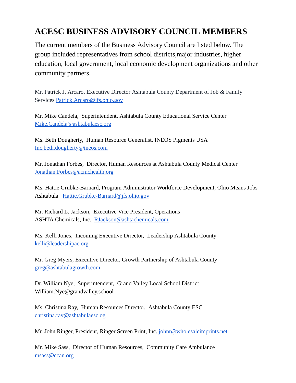# **ACESC BUSINESS ADVISORY COUNCIL MEMBERS**

The current members of the Business Advisory Council are listed below. The group included representatives from school districts,major industries, higher education, local government, local economic development organizations and other community partners.

Mr. Patrick J. Arcaro, Executive Director Ashtabula County Department of Job & Family Services [Patrick.Arcaro@jfs.ohio.gov](mailto:Patrick.Arcaro@jfs.ohio.gov)

Mr. Mike Candela, Superintendent, Ashtabula County Educational Service Center [Mike.Candela@ashtabulaesc.org](mailto:Mike.Candela@ashtabulaesc.org)

Ms. Beth Dougherty, Human Resource Generalist, INEOS Pigments USA [Inc.beth.dougherty@ineos.com](mailto:Inc.beth.dougherty@ineos.com)

Mr. Jonathan Forbes, Director, Human Resources at Ashtabula County Medical Center [Jonathan.Forbes@acmchealth.org](mailto:Jonathan.Forbes@acmchealth.org)

Ms. Hattie Grubke-Barnard, Program Administrator Workforce Development, Ohio Means Jobs Ashtabula [Hattie.Grubke-Barnard@jfs.ohio.gov](mailto:Hattie.Grubke-Barnard@jfs.ohio.gov)

Mr. Richard L. Jackson, Executive Vice President, Operations ASHTA Chemicals, Inc., [RJackson@ashtachemicals.com](mailto:RJackson@ashtachemicals.com)

Ms. Kelli Jones, Incoming Executive Director, Leadership Ashtabula County [kelli@leadershipac.org](mailto:kelli@leadershipac.org)

Mr. Greg Myers, Executive Director, Growth Partnership of Ashtabula County [greg@ashtabulagrowth.com](mailto:greg@ashtabulagrowth.com)

Dr. William Nye, Superintendent, Grand Valley Local School District William.Nye@grandvalley.school

Ms. Christina Ray, Human Resources Director, Ashtabula County ESC [christina.ray@ashtabulaesc.og](mailto:christina.ray@ashtabulaesc.og)

Mr. John Ringer, President, Ringer Screen Print, Inc. [johnr@wholesaleimprints.net](mailto:johnr@wholesaleimprints.net)

Mr. Mike Sass, Director of Human Resources, Community Care Ambulance [msass@ccan.org](mailto:msass@ccan.org)